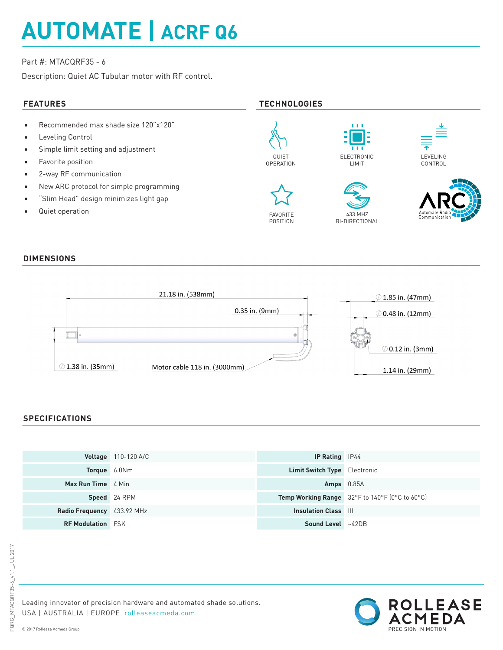# **AUTOMATE | ACRF Q6**

# Part #: MTACQRF35 - 6

Description: Quiet AC Tubular motor with RF control.

# **FEATURES TECHNOLOGIES**

- Recommended max shade size 120"x120"
- Leveling Control
- Simple limit setting and adjustment
- Favorite position
- 2-way RF communication
- New ARC protocol for simple programming
- "Slim Head" design minimizes light gap
- Quiet operation





POSITION









### **DIMENSIONS**



# **SPECIFICATIONS**

|                            | <b>Voltage</b> 110-120 A/C | <b>IP Rating</b> IP44               |                                                |
|----------------------------|----------------------------|-------------------------------------|------------------------------------------------|
| <b>Torque</b> 6.0Nm        |                            | <b>Limit Switch Type</b> Electronic |                                                |
| <b>Max Run Time</b> 4 Min  |                            | $Amps$ 0.85A                        |                                                |
|                            | Speed 24 RPM               |                                     | Temp Working Range 32°F to 140°F (0°C to 60°C) |
| Radio Frequency 433.92 MHz |                            | <b>Insulation Class III</b>         |                                                |
| <b>RF Modulation FSK</b>   |                            | <b>Sound Level</b> ~42DB            |                                                |



Leading innovator of precision hardware and automated shade solutions. USA | AUSTRALIA | EUROPE rolleaseacmeda.com